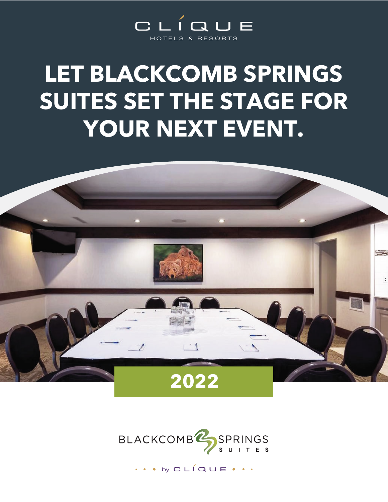

### **LET BLACKCOMB SPRINGS SUITES SET THE STAGE FOR YOUR NEXT EVENT.**





by  $CLÍQUE \cdot \cdot$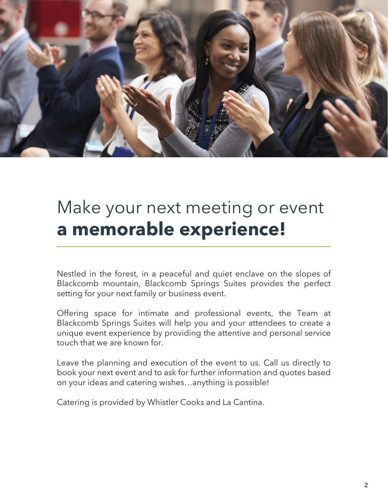

### Make your next meeting or event **a memorable experience!**

Nestled in the forest, in a peaceful and quiet enclave on the slopes of Blackcomb mountain, Blackcomb Springs Suites provides the perfect setting for your next family or business event.

Offering space for intimate and professional events, the Team at Blackcomb Springs Suites will help you and your attendees to create a unique event experience by providing the attentive and personal service touch that we are known for.

Leave the planning and execution of the event to us. Call us directly to book your next event and to ask for further information and quotes based on your ideas and catering wishes…anything is possible!

Catering is provided by Whistler Cooks and La Cantina.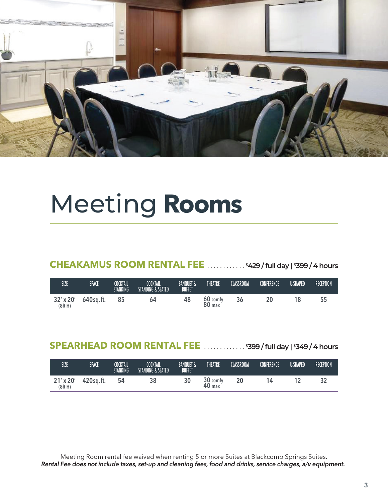

### Meeting **Rooms**

**CHEAKAMUS ROOM RENTAL FEE** ............. \$429 / full day | \$399 / 4 hours

| SIZE                | SPACE     | <b>COCKTAIL</b><br><b>STANDING</b> | COCKTAIL<br>STANDING & SEATED | <b>BANQUET &amp;</b><br><b>BUFFET</b> | <b>THEATRE</b>                | <b>CLASSROOM</b> | CONFERENCE | <b>U-SHAPED</b> | <b>RECEPTION</b> |
|---------------------|-----------|------------------------------------|-------------------------------|---------------------------------------|-------------------------------|------------------|------------|-----------------|------------------|
| 32' x 20'<br>(8ftH) | 640sq.ft. |                                    | 64                            | 48                                    | 60 comfy<br>80 <sub>max</sub> | 36               |            | 18              |                  |

### SPEARHEAD ROOM RENTAL FEE **............** \$399 / full day | \$349 / 4 hours

| SIZE                | SPACE     | <b>COCKTAIL</b><br><b>STANDING</b> | <b>COCKTAIL</b><br><b>STANDING &amp; SEATED</b> | <b>BANQUET &amp;</b><br><b>BUFFET</b> | THEATRE                       | CLASSROOM | <b>CONFERENCE</b> | <b>U-SHAPED</b> | <b>RECEPTION</b> |
|---------------------|-----------|------------------------------------|-------------------------------------------------|---------------------------------------|-------------------------------|-----------|-------------------|-----------------|------------------|
| 21' x 20'<br>(8ftH) | 420sq.ft. | 54                                 | 38                                              | 30                                    | ີ 20<br>comfy<br>40<br>40 max |           | 4                 |                 | ◡▵               |

Meeting Room rental fee waived when renting 5 or more Suites at Blackcomb Springs Suites. *Rental Fee does not include taxes, set-up and cleaning fees, food and drinks, service charges, a/v equipment.*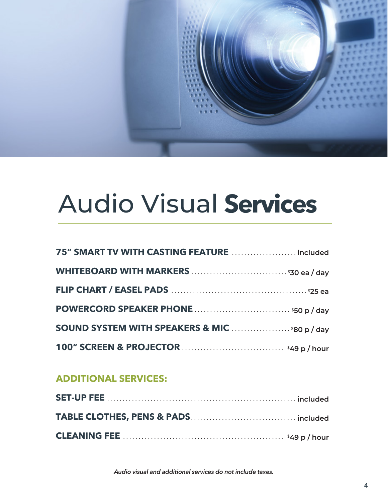

# Audio Visual **Services**

| 75" SMART TV WITH CASTING FEATURE  included           |  |
|-------------------------------------------------------|--|
|                                                       |  |
|                                                       |  |
|                                                       |  |
| <b>SOUND SYSTEM WITH SPEAKERS &amp; MIC 580 p/day</b> |  |
|                                                       |  |

### **ADDITIONAL SERVICES:**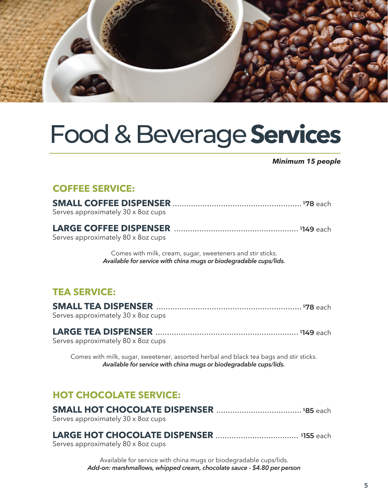

### Food & Beverage**Services**

*Minimum 15 people*

### **COFFEE SERVICE:**

| Serves approximately 30 x 8oz cups |  |
|------------------------------------|--|
| Serves approximately 80 x 8oz cups |  |

Comes with milk, cream, sugar, sweeteners and stir sticks. *Available for service with china mugs or biodegradable cups/lids.*

### **TEA SERVICE:**

| Serves approximately 30 x 8oz cups |  |
|------------------------------------|--|

#### **LARGE TEA DISPENSER** .............................................................. \$**149** each Serves approximately 80 x 8oz cups

Comes with milk, sugar, sweetener, assorted herbal and black tea bags and stir sticks. *Available for service with china mugs or biodegradable cups/lids.*

### **HOT CHOCOLATE SERVICE:**

| Serves approximately 30 x 8oz cups |  |
|------------------------------------|--|

#### **LARGE HOT CHOCOLATE DISPENSER** .................................... \$**155** each

Serves approximately 80 x 8oz cups

Available for service with china mugs or biodegradable cups/lids. *Add-on: marshmallows, whipped cream, chocolate sauce - \$4.80 per person*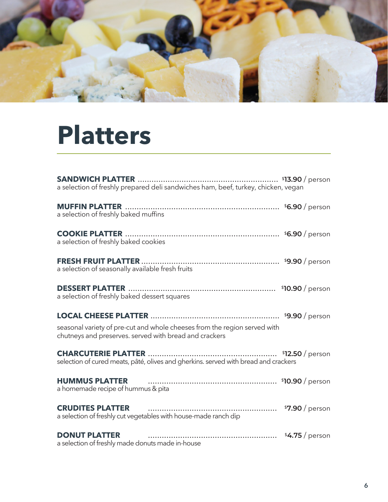

## **Platters**

| a selection of freshly prepared deli sandwiches ham, beef, turkey, chicken, vegan                                                                                                                         |
|-----------------------------------------------------------------------------------------------------------------------------------------------------------------------------------------------------------|
| a selection of freshly baked muffins                                                                                                                                                                      |
| a selection of freshly baked cookies                                                                                                                                                                      |
| a selection of seasonally available fresh fruits                                                                                                                                                          |
| a selection of freshly baked dessert squares                                                                                                                                                              |
| seasonal variety of pre-cut and whole cheeses from the region served with<br>chutneys and preserves. served with bread and crackers                                                                       |
| selection of cured meats, pâté, olives and gherkins. served with bread and crackers                                                                                                                       |
| HUMMUS PLATTER <b>CONSERVER CONSERVERS CONSERVERS CONSERVERS CONSERVERS CONSERVERS CONSERVERS CONSERVERS CONSERVERS CONSERVERS CONSERVERS CONSERVERS CONSERVERS</b><br>a homemade recipe of hummus & pita |
| <b>CRUDITES PLATTER CRUDITES CRUDITES PLATTER CRUDITES PLATTER</b><br>a selection of freshly cut vegetables with house-made ranch dip                                                                     |
| <b>DONUT PLATTER</b><br>a selection of freshly made donuts made in-house                                                                                                                                  |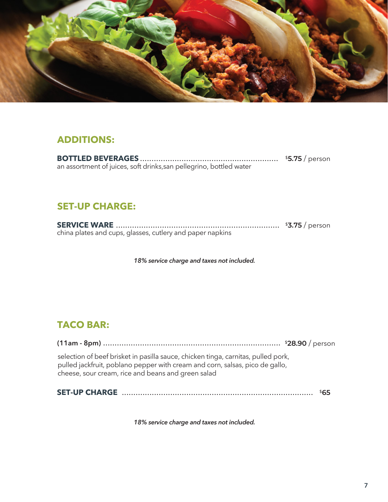

### **ADDITIONS:**

**BOTTLED BEVERAGES** ............................................................ \$**5.75** / person an assortment of juices, soft drinks,san pellegrino, bottled water

### **SET-UP CHARGE:**

**SERVICE WARE** ....................................................................... \$**3.75** / person china plates and cups, glasses, cutlery and paper napkins

*18% service charge and taxes not included.*

### **TACO BAR:**

**(11am - 8pm)** ............................................................................. \$**28.90** / person

selection of beef brisket in pasilla sauce, chicken tinga, carnitas, pulled pork, pulled jackfruit, poblano pepper with cream and corn, salsas, pico de gallo, cheese, sour cream, rice and beans and green salad

**SET-UP CHARGE** ................................................................................... \$**65**

*18% service charge and taxes not included.*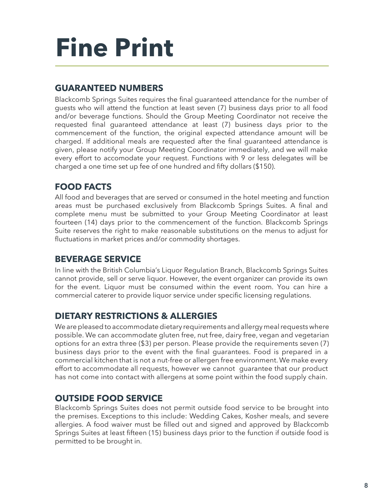# **Fine Print**

### **GUARANTEED NUMBERS**

Blackcomb Springs Suites requires the final guaranteed attendance for the number of guests who will attend the function at least seven (7) business days prior to all food and/or beverage functions. Should the Group Meeting Coordinator not receive the requested final guaranteed attendance at least (7) business days prior to the commencement of the function, the original expected attendance amount will be charged. If additional meals are requested after the final guaranteed attendance is given, please notify your Group Meeting Coordinator immediately, and we will make every effort to accomodate your request. Functions with 9 or less delegates will be charged a one time set up fee of one hundred and fifty dollars (\$150).

### **FOOD FACTS**

All food and beverages that are served or consumed in the hotel meeting and function areas must be purchased exclusively from Blackcomb Springs Suites. A final and complete menu must be submitted to your Group Meeting Coordinator at least fourteen (14) days prior to the commencement of the function. Blackcomb Springs Suite reserves the right to make reasonable substitutions on the menus to adjust for fluctuations in market prices and/or commodity shortages.

### **BEVERAGE SERVICE**

In line with the British Columbia's Liquor Regulation Branch, Blackcomb Springs Suites cannot provide, sell or serve liquor. However, the event organizer can provide its own for the event. Liquor must be consumed within the event room. You can hire a commercial caterer to provide liquor service under specific licensing regulations.

### **DIETARY RESTRICTIONS & ALLERGIES**

We are pleased to accommodate dietary requirements and allergy meal requests where possible. We can accommodate gluten free, nut free, dairy free, vegan and vegetarian options for an extra three (\$3) per person. Please provide the requirements seven (7) business days prior to the event with the final guarantees. Food is prepared in a commercial kitchen that is not a nut-free or allergen free environment. We make every effort to accommodate all requests, however we cannot guarantee that our product has not come into contact with allergens at some point within the food supply chain.

### **OUTSIDE FOOD SERVICE**

Blackcomb Springs Suites does not permit outside food service to be brought into the premises. Exceptions to this include: Wedding Cakes, Kosher meals, and severe allergies. A food waiver must be filled out and signed and approved by Blackcomb Springs Suites at least fifteen (15) business days prior to the function if outside food is permitted to be brought in.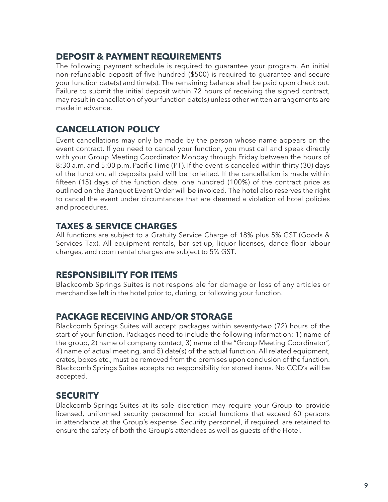#### **DEPOSIT & PAYMENT REQUIREMENTS**

The following payment schedule is required to guarantee your program. An initial non-refundable deposit of five hundred (\$500) is required to guarantee and secure your function date(s) and time(s). The remaining balance shall be paid upon check out. Failure to submit the initial deposit within 72 hours of receiving the signed contract, may result in cancellation of your function date(s) unless other written arrangements are made in advance.

### **CANCELLATION POLICY**

Event cancellations may only be made by the person whose name appears on the event contract. If you need to cancel your function, you must call and speak directly with your Group Meeting Coordinator Monday through Friday between the hours of 8:30 a.m. and 5:00 p.m. Pacific Time (PT). If the event is canceled within thirty (30) days of the function, all deposits paid will be forfeited. If the cancellation is made within fifteen (15) days of the function date, one hundred (100%) of the contract price as outlined on the Banquet Event Order will be invoiced. The hotel also reserves the right to cancel the event under circumtances that are deemed a violation of hotel policies and procedures.

### **TAXES & SERVICE CHARGES**

All functions are subject to a Gratuity Service Charge of 18% plus 5% GST (Goods & Services Tax). All equipment rentals, bar set-up, liquor licenses, dance floor labour charges, and room rental charges are subject to 5% GST.

#### **RESPONSIBILITY FOR ITEMS**

Blackcomb Springs Suites is not responsible for damage or loss of any articles or merchandise left in the hotel prior to, during, or following your function.

### **PACKAGE RECEIVING AND/OR STORAGE**

Blackcomb Springs Suites will accept packages within seventy-two (72) hours of the start of your function. Packages need to include the following information: 1) name of the group, 2) name of company contact, 3) name of the "Group Meeting Coordinator", 4) name of actual meeting, and 5) date(s) of the actual function. All related equipment, crates, boxes etc., must be removed from the premises upon conclusion of the function. Blackcomb Springs Suites accepts no responsibility for stored items. No COD's will be accepted.

### **SECURITY**

Blackcomb Springs Suites at its sole discretion may require your Group to provide licensed, uniformed security personnel for social functions that exceed 60 persons in attendance at the Group's expense. Security personnel, if required, are retained to ensure the safety of both the Group's attendees as well as guests of the Hotel.